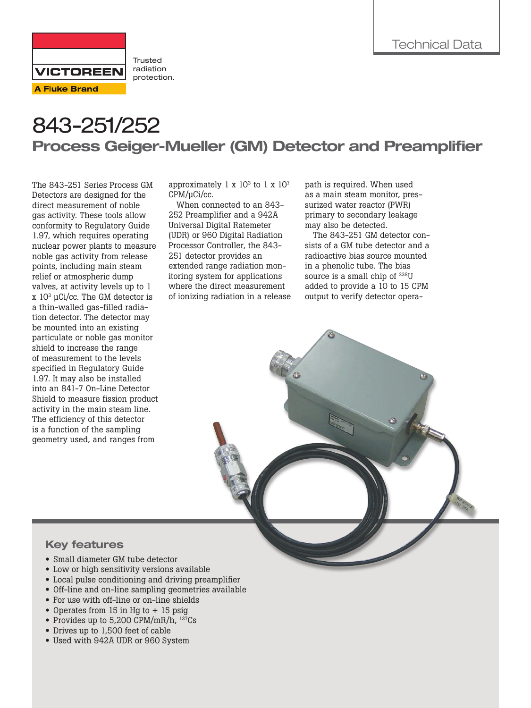

**Trusted** radiation protection.

# 843-251/252 Process Geiger-Mueller (GM) Detector and Preamplifier

The 843-251 Series Process GM Detectors are designed for the direct measurement of noble gas activity. These tools allow conformity to Regulatory Guide 1.97, which requires operating nuclear power plants to measure noble gas activity from release points, including main steam relief or atmospheric dump valves, at activity levels up to 1 x  $10^3$  µCi/cc. The GM detector is a thin-walled gas-filled radiation detector. The detector may be mounted into an existing particulate or noble gas monitor shield to increase the range of measurement to the levels specified in Regulatory Guide 1.97. It may also be installed into an 841-7 On-Line Detector Shield to measure fission product activity in the main steam line. The efficiency of this detector is a function of the sampling geometry used, and ranges from

approximately 1 x  $10<sup>3</sup>$  to 1 x  $10<sup>7</sup>$ CPM/µCi/cc.

When connected to an 843- 252 Preamplifier and a 942A Universal Digital Ratemeter (UDR) or 960 Digital Radiation Processor Controller, the 843- 251 detector provides an extended range radiation monitoring system for applications where the direct measurement of ionizing radiation in a release path is required. When used as a main steam monitor, pressurized water reactor (PWR) primary to secondary leakage may also be detected.

The 843-251 GM detector consists of a GM tube detector and a radioactive bias source mounted in a phenolic tube. The bias source is a small chip of <sup>238</sup>U added to provide a 10 to 15 CPM output to verify detector opera-

## Key features

- Small diameter GM tube detector
- Low or high sensitivity versions available
- Local pulse conditioning and driving preamplifier
- Off-line and on-line sampling geometries available
- For use with off-line or on-line shields
- Operates from 15 in Hg to + 15 psig
- Provides up to 5,200 CPM/mR/h, <sup>137</sup>Cs
- Drives up to 1,500 feet of cable
- Used with 942A UDR or 960 System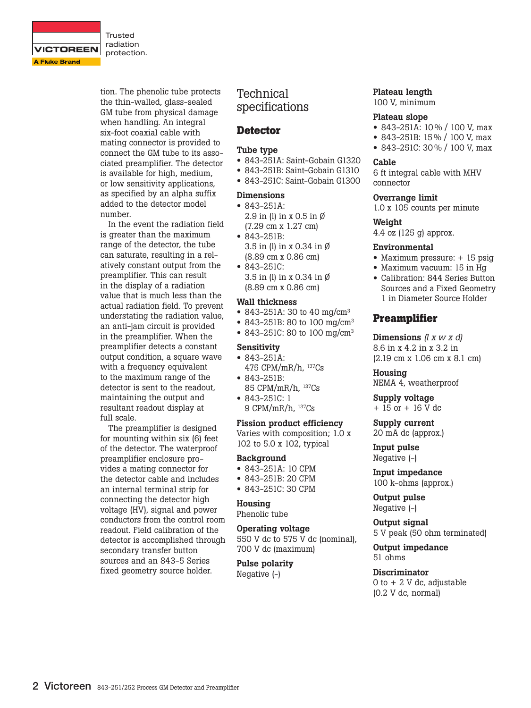

Trusted radiation protection.

tion. The phenolic tube protects the thin-walled, glass-sealed GM tube from physical damage when handling. An integral six-foot coaxial cable with mating connector is provided to connect the GM tube to its associated preamplifier. The detector is available for high, medium, or low sensitivity applications, as specified by an alpha suffix added to the detector model number.

In the event the radiation field is greater than the maximum range of the detector, the tube can saturate, resulting in a relatively constant output from the preamplifier. This can result in the display of a radiation value that is much less than the actual radiation field. To prevent understating the radiation value, an anti-jam circuit is provided in the preamplifier. When the preamplifier detects a constant output condition, a square wave with a frequency equivalent to the maximum range of the detector is sent to the readout, maintaining the output and resultant readout display at full scale.

The preamplifier is designed for mounting within six (6) feet of the detector. The waterproof preamplifier enclosure provides a mating connector for the detector cable and includes an internal terminal strip for connecting the detector high voltage (HV), signal and power conductors from the control room readout. Field calibration of the detector is accomplished through secondary transfer button sources and an 843-5 Series fixed geometry source holder.

## Technical specifications

## **Detector**

#### Tube type

- 843-251A: Saint-Gobain G1320
- 843-251B: Saint-Gobain G1310
- 843-251C: Saint-Gobain G1300

#### Dimensions

- 843-251A: 2.9 in (l) in x 0.5 in Ø (7.29 cm x 1.27 cm)
- 843-251B: 3.5 in (l) in x 0.34 in Ø (8.89 cm x 0.86 cm)
- 843-251C: 3.5 in (l) in x 0.34 in Ø (8.89 cm x 0.86 cm)

#### Wall thickness

- 843-251A: 30 to 40 mg/cm<sup>3</sup>
- 843-251B: 80 to 100 mg/cm<sup>3</sup>
- 843-251C: 80 to 100 mg/cm<sup>3</sup>

#### Sensitivity

- 843-251A: 475 CPM/mR/h, 137Cs
- 843-251B: 85 CPM/mR/h, 137Cs
- 843-251C: 1 9 CPM/mR/h, 137Cs

## Fission product efficiency

Varies with composition; 1.0 x 102 to 5.0 x 102, typical

#### Background

- 843-251A: 10 CPM
- 843-251B: 20 CPM
- 843-251C: 30 CPM

#### Housing

Phenolic tube

#### Operating voltage

550 V dc to 575 V dc (nominal), 700 V dc (maximum)

Pulse polarity Negative (-)

#### Plateau length 100 V, minimum

#### Plateau slope

- 843-251A: 10 % / 100 V, max
- 843-251B: 15 % / 100 V, max
- 843-251C: 30 % / 100 V, max

#### Cable

6 ft integral cable with MHV connector

#### Overrange limit

1.0 x 105 counts per minute

#### Weight

4.4 oz (125 g) approx.

#### Environmental

- Maximum pressure: + 15 psig
- Maximum vacuum: 15 in Hg
- Calibration: 844 Series Button Sources and a Fixed Geometry 1 in Diameter Source Holder

## **Preamplifier**

Dimensions *(l x w x d)* 8.6 in x 4.2 in x 3.2 in (2.19 cm x 1.06 cm x 8.1 cm)

Housing NEMA 4, weatherproof

Supply voltage + 15 or + 16 V dc

Supply current 20 mA dc (approx.)

Input pulse Negative (-)

Input impedance 100 k-ohms (approx.)

Output pulse Negative (-)

Output signal 5 V peak (50 ohm terminated)

Output impedance 51 ohms

**Discriminator** 0 to  $+ 2$  V dc, adjustable (0.2 V dc, normal)